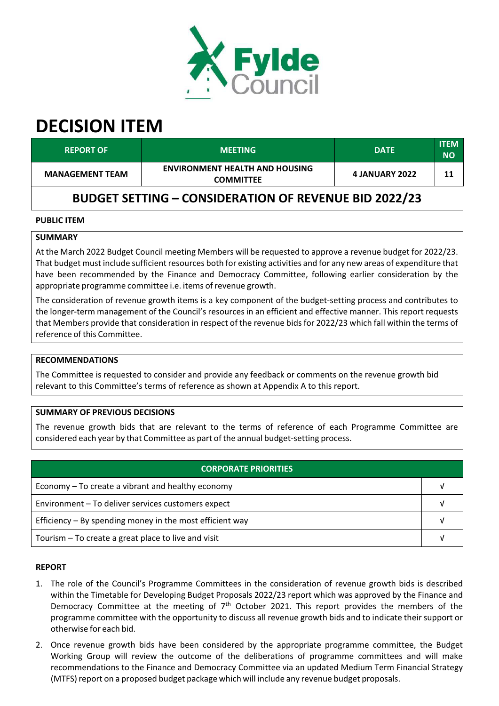

# **DECISION ITEM**

| <b>REPORT OF</b>                                             | <b>MEETING</b>                                            | <b>DATE</b>           | <b>ITEM</b><br><b>NO</b> |  |  |
|--------------------------------------------------------------|-----------------------------------------------------------|-----------------------|--------------------------|--|--|
| <b>MANAGEMENT TEAM</b>                                       | <b>ENVIRONMENT HEALTH AND HOUSING</b><br><b>COMMITTEE</b> | <b>4 JANUARY 2022</b> | 11                       |  |  |
| <b>BUDGET SETTING - CONSIDERATION OF REVENUE BID 2022/23</b> |                                                           |                       |                          |  |  |

## **PUBLIC ITEM**

## **SUMMARY**

At the March 2022 Budget Council meeting Members will be requested to approve a revenue budget for 2022/23. That budget must include sufficient resources both for existing activities and for any new areas of expenditure that have been recommended by the Finance and Democracy Committee, following earlier consideration by the appropriate programme committee i.e. items of revenue growth.

The consideration of revenue growth items is a key component of the budget‐setting process and contributes to the longer‐term management of the Council's resources in an efficient and effective manner. This report requests that Members provide that consideration in respect of the revenue bids for 2022/23 which fall within the terms of reference of this Committee.

## **RECOMMENDATIONS**

The Committee is requested to consider and provide any feedback or comments on the revenue growth bid relevant to this Committee's terms of reference as shown at Appendix A to this report.

#### **SUMMARY OF PREVIOUS DECISIONS**

The revenue growth bids that are relevant to the terms of reference of each Programme Committee are considered each year by that Committee as part of the annual budget‐setting process.

| <b>CORPORATE PRIORITIES</b>                                |  |  |  |
|------------------------------------------------------------|--|--|--|
| Economy – To create a vibrant and healthy economy          |  |  |  |
| Environment - To deliver services customers expect         |  |  |  |
| Efficiency $-$ By spending money in the most efficient way |  |  |  |
| Tourism – To create a great place to live and visit        |  |  |  |

#### **REPORT**

- 1. The role of the Council's Programme Committees in the consideration of revenue growth bids is described within the Timetable for Developing Budget Proposals 2022/23 report which was approved by the Finance and Democracy Committee at the meeting of 7<sup>th</sup> October 2021. This report provides the members of the programme committee with the opportunity to discuss all revenue growth bids and to indicate their support or otherwise for each bid.
- 2. Once revenue growth bids have been considered by the appropriate programme committee, the Budget Working Group will review the outcome of the deliberations of programme committees and will make recommendations to the Finance and Democracy Committee via an updated Medium Term Financial Strategy (MTFS) report on a proposed budget package which will include any revenue budget proposals.